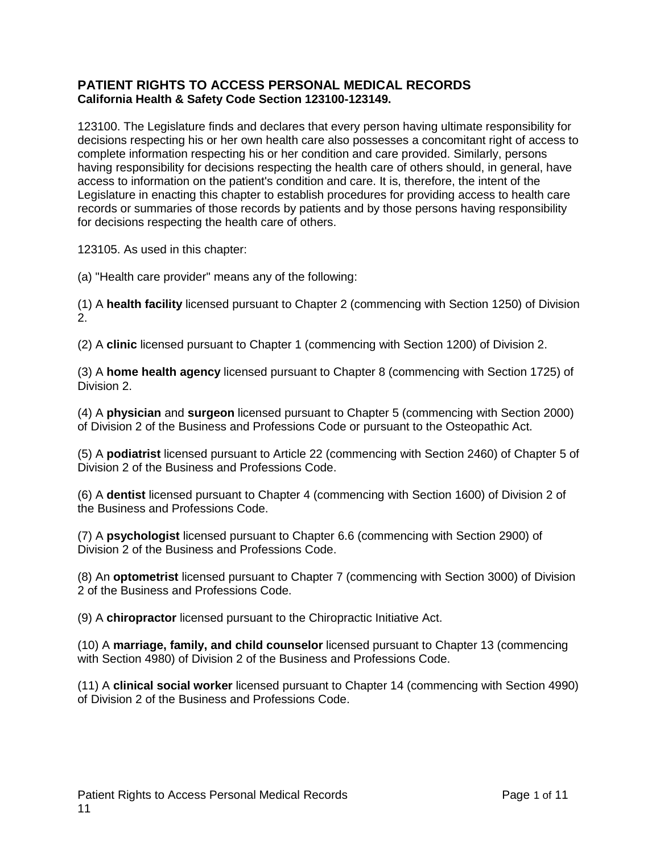## **PATIENT RIGHTS TO ACCESS PERSONAL MEDICAL RECORDS California Health & Safety Code Section 123100-123149.**

123100. The Legislature finds and declares that every person having ultimate responsibility for decisions respecting his or her own health care also possesses a concomitant right of access to complete information respecting his or her condition and care provided. Similarly, persons having responsibility for decisions respecting the health care of others should, in general, have access to information on the patient's condition and care. It is, therefore, the intent of the Legislature in enacting this chapter to establish procedures for providing access to health care records or summaries of those records by patients and by those persons having responsibility for decisions respecting the health care of others.

123105. As used in this chapter:

(a) "Health care provider" means any of the following:

(1) A **health facility** licensed pursuant to Chapter 2 (commencing with Section 1250) of Division 2.

(2) A **clinic** licensed pursuant to Chapter 1 (commencing with Section 1200) of Division 2.

(3) A **home health agency** licensed pursuant to Chapter 8 (commencing with Section 1725) of Division 2.

(4) A **physician** and **surgeon** licensed pursuant to Chapter 5 (commencing with Section 2000) of Division 2 of the Business and Professions Code or pursuant to the Osteopathic Act.

(5) A **podiatrist** licensed pursuant to Article 22 (commencing with Section 2460) of Chapter 5 of Division 2 of the Business and Professions Code.

(6) A **dentist** licensed pursuant to Chapter 4 (commencing with Section 1600) of Division 2 of the Business and Professions Code.

(7) A **psychologist** licensed pursuant to Chapter 6.6 (commencing with Section 2900) of Division 2 of the Business and Professions Code.

(8) An **optometrist** licensed pursuant to Chapter 7 (commencing with Section 3000) of Division 2 of the Business and Professions Code.

(9) A **chiropractor** licensed pursuant to the Chiropractic Initiative Act.

(10) A **marriage, family, and child counselor** licensed pursuant to Chapter 13 (commencing with Section 4980) of Division 2 of the Business and Professions Code.

(11) A **clinical social worker** licensed pursuant to Chapter 14 (commencing with Section 4990) of Division 2 of the Business and Professions Code.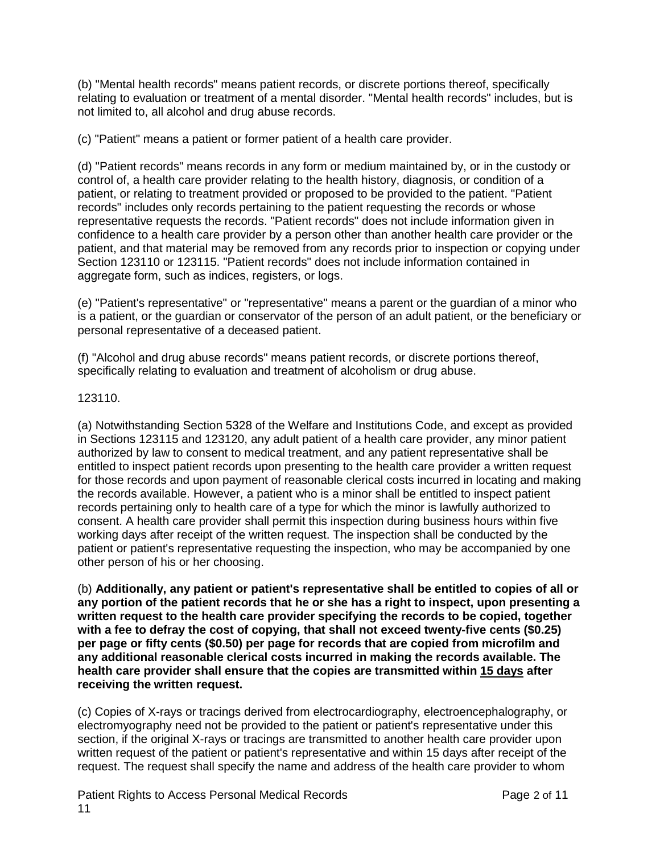(b) "Mental health records" means patient records, or discrete portions thereof, specifically relating to evaluation or treatment of a mental disorder. "Mental health records" includes, but is not limited to, all alcohol and drug abuse records.

(c) "Patient" means a patient or former patient of a health care provider.

(d) "Patient records" means records in any form or medium maintained by, or in the custody or control of, a health care provider relating to the health history, diagnosis, or condition of a patient, or relating to treatment provided or proposed to be provided to the patient. "Patient records" includes only records pertaining to the patient requesting the records or whose representative requests the records. "Patient records" does not include information given in confidence to a health care provider by a person other than another health care provider or the patient, and that material may be removed from any records prior to inspection or copying under Section 123110 or 123115. "Patient records" does not include information contained in aggregate form, such as indices, registers, or logs.

(e) "Patient's representative" or "representative" means a parent or the guardian of a minor who is a patient, or the guardian or conservator of the person of an adult patient, or the beneficiary or personal representative of a deceased patient.

(f) "Alcohol and drug abuse records" means patient records, or discrete portions thereof, specifically relating to evaluation and treatment of alcoholism or drug abuse.

### 123110.

(a) Notwithstanding Section 5328 of the Welfare and Institutions Code, and except as provided in Sections 123115 and 123120, any adult patient of a health care provider, any minor patient authorized by law to consent to medical treatment, and any patient representative shall be entitled to inspect patient records upon presenting to the health care provider a written request for those records and upon payment of reasonable clerical costs incurred in locating and making the records available. However, a patient who is a minor shall be entitled to inspect patient records pertaining only to health care of a type for which the minor is lawfully authorized to consent. A health care provider shall permit this inspection during business hours within five working days after receipt of the written request. The inspection shall be conducted by the patient or patient's representative requesting the inspection, who may be accompanied by one other person of his or her choosing.

(b) **Additionally, any patient or patient's representative shall be entitled to copies of all or any portion of the patient records that he or she has a right to inspect, upon presenting a written request to the health care provider specifying the records to be copied, together with a fee to defray the cost of copying, that shall not exceed twenty-five cents (\$0.25) per page or fifty cents (\$0.50) per page for records that are copied from microfilm and any additional reasonable clerical costs incurred in making the records available. The health care provider shall ensure that the copies are transmitted within 15 days after receiving the written request.**

(c) Copies of X-rays or tracings derived from electrocardiography, electroencephalography, or electromyography need not be provided to the patient or patient's representative under this section, if the original X-rays or tracings are transmitted to another health care provider upon written request of the patient or patient's representative and within 15 days after receipt of the request. The request shall specify the name and address of the health care provider to whom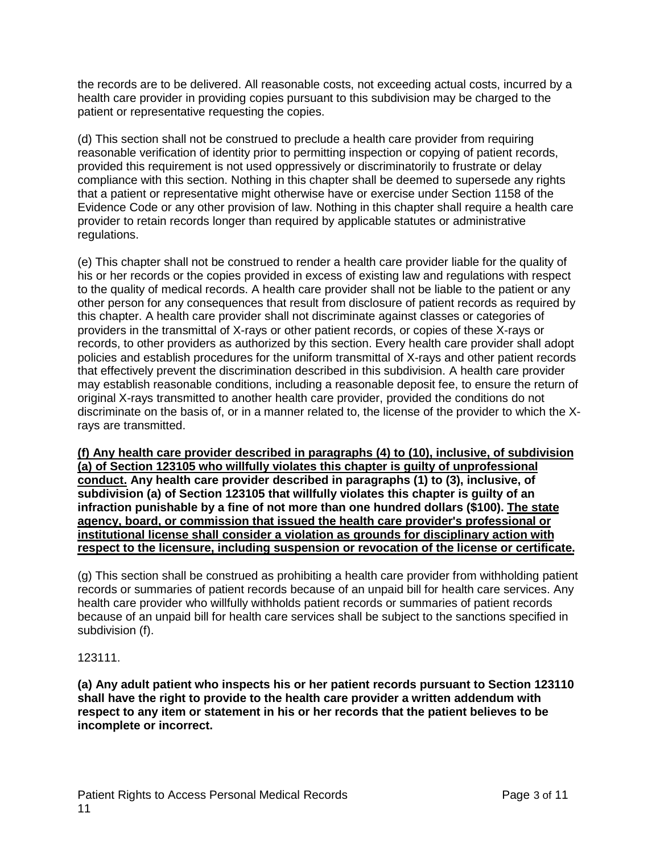the records are to be delivered. All reasonable costs, not exceeding actual costs, incurred by a health care provider in providing copies pursuant to this subdivision may be charged to the patient or representative requesting the copies.

(d) This section shall not be construed to preclude a health care provider from requiring reasonable verification of identity prior to permitting inspection or copying of patient records, provided this requirement is not used oppressively or discriminatorily to frustrate or delay compliance with this section. Nothing in this chapter shall be deemed to supersede any rights that a patient or representative might otherwise have or exercise under Section 1158 of the Evidence Code or any other provision of law. Nothing in this chapter shall require a health care provider to retain records longer than required by applicable statutes or administrative regulations.

(e) This chapter shall not be construed to render a health care provider liable for the quality of his or her records or the copies provided in excess of existing law and regulations with respect to the quality of medical records. A health care provider shall not be liable to the patient or any other person for any consequences that result from disclosure of patient records as required by this chapter. A health care provider shall not discriminate against classes or categories of providers in the transmittal of X-rays or other patient records, or copies of these X-rays or records, to other providers as authorized by this section. Every health care provider shall adopt policies and establish procedures for the uniform transmittal of X-rays and other patient records that effectively prevent the discrimination described in this subdivision. A health care provider may establish reasonable conditions, including a reasonable deposit fee, to ensure the return of original X-rays transmitted to another health care provider, provided the conditions do not discriminate on the basis of, or in a manner related to, the license of the provider to which the Xrays are transmitted.

**(f) Any health care provider described in paragraphs (4) to (10), inclusive, of subdivision (a) of Section 123105 who willfully violates this chapter is guilty of unprofessional conduct. Any health care provider described in paragraphs (1) to (3), inclusive, of subdivision (a) of Section 123105 that willfully violates this chapter is guilty of an infraction punishable by a fine of not more than one hundred dollars (\$100). The state agency, board, or commission that issued the health care provider's professional or institutional license shall consider a violation as grounds for disciplinary action with respect to the licensure, including suspension or revocation of the license or certificate.**

(g) This section shall be construed as prohibiting a health care provider from withholding patient records or summaries of patient records because of an unpaid bill for health care services. Any health care provider who willfully withholds patient records or summaries of patient records because of an unpaid bill for health care services shall be subject to the sanctions specified in subdivision (f).

123111.

**(a) Any adult patient who inspects his or her patient records pursuant to Section 123110 shall have the right to provide to the health care provider a written addendum with respect to any item or statement in his or her records that the patient believes to be incomplete or incorrect.**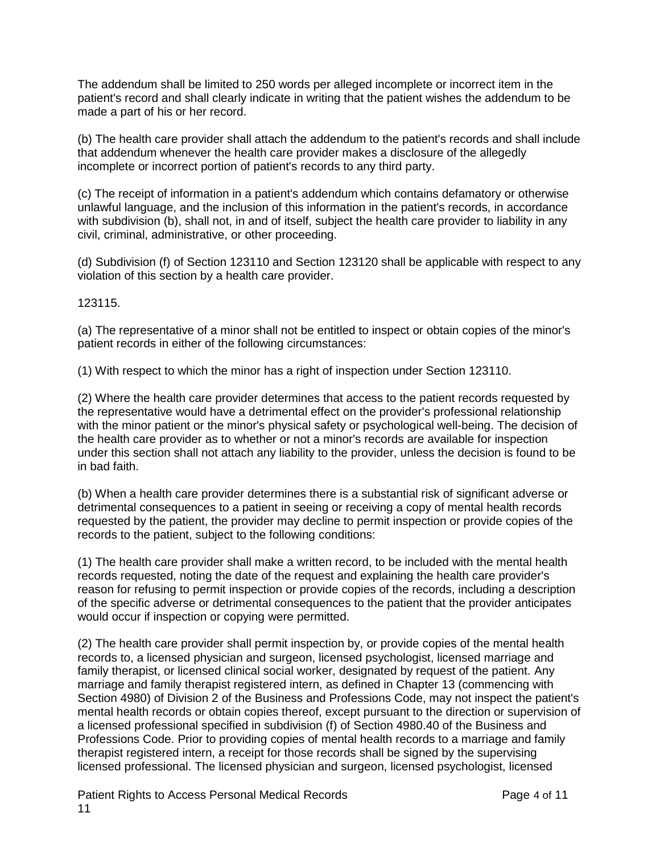The addendum shall be limited to 250 words per alleged incomplete or incorrect item in the patient's record and shall clearly indicate in writing that the patient wishes the addendum to be made a part of his or her record.

(b) The health care provider shall attach the addendum to the patient's records and shall include that addendum whenever the health care provider makes a disclosure of the allegedly incomplete or incorrect portion of patient's records to any third party.

(c) The receipt of information in a patient's addendum which contains defamatory or otherwise unlawful language, and the inclusion of this information in the patient's records, in accordance with subdivision (b), shall not, in and of itself, subject the health care provider to liability in any civil, criminal, administrative, or other proceeding.

(d) Subdivision (f) of Section 123110 and Section 123120 shall be applicable with respect to any violation of this section by a health care provider.

123115.

(a) The representative of a minor shall not be entitled to inspect or obtain copies of the minor's patient records in either of the following circumstances:

(1) With respect to which the minor has a right of inspection under Section 123110.

(2) Where the health care provider determines that access to the patient records requested by the representative would have a detrimental effect on the provider's professional relationship with the minor patient or the minor's physical safety or psychological well-being. The decision of the health care provider as to whether or not a minor's records are available for inspection under this section shall not attach any liability to the provider, unless the decision is found to be in bad faith.

(b) When a health care provider determines there is a substantial risk of significant adverse or detrimental consequences to a patient in seeing or receiving a copy of mental health records requested by the patient, the provider may decline to permit inspection or provide copies of the records to the patient, subject to the following conditions:

(1) The health care provider shall make a written record, to be included with the mental health records requested, noting the date of the request and explaining the health care provider's reason for refusing to permit inspection or provide copies of the records, including a description of the specific adverse or detrimental consequences to the patient that the provider anticipates would occur if inspection or copying were permitted.

(2) The health care provider shall permit inspection by, or provide copies of the mental health records to, a licensed physician and surgeon, licensed psychologist, licensed marriage and family therapist, or licensed clinical social worker, designated by request of the patient. Any marriage and family therapist registered intern, as defined in Chapter 13 (commencing with Section 4980) of Division 2 of the Business and Professions Code, may not inspect the patient's mental health records or obtain copies thereof, except pursuant to the direction or supervision of a licensed professional specified in subdivision (f) of Section 4980.40 of the Business and Professions Code. Prior to providing copies of mental health records to a marriage and family therapist registered intern, a receipt for those records shall be signed by the supervising licensed professional. The licensed physician and surgeon, licensed psychologist, licensed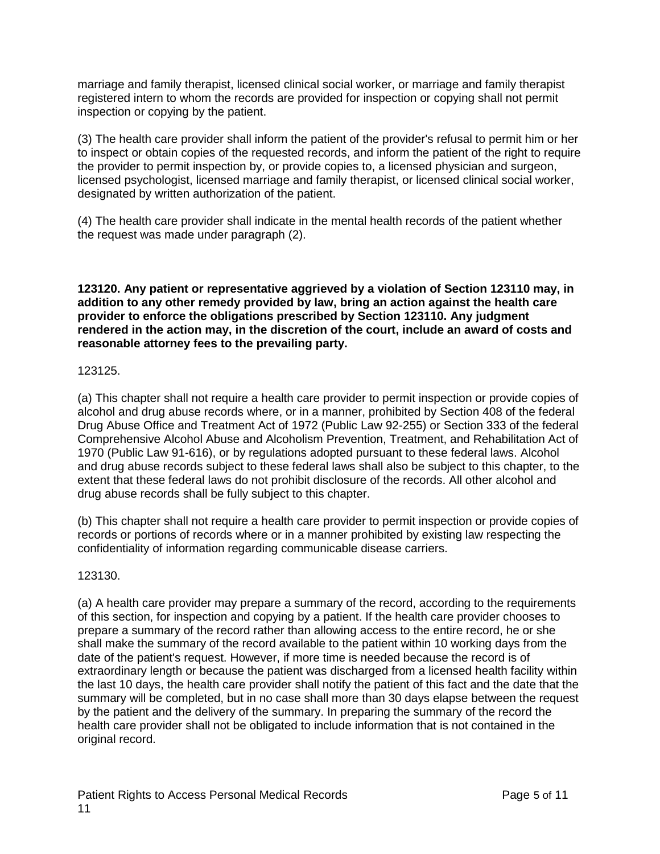marriage and family therapist, licensed clinical social worker, or marriage and family therapist registered intern to whom the records are provided for inspection or copying shall not permit inspection or copying by the patient.

(3) The health care provider shall inform the patient of the provider's refusal to permit him or her to inspect or obtain copies of the requested records, and inform the patient of the right to require the provider to permit inspection by, or provide copies to, a licensed physician and surgeon, licensed psychologist, licensed marriage and family therapist, or licensed clinical social worker, designated by written authorization of the patient.

(4) The health care provider shall indicate in the mental health records of the patient whether the request was made under paragraph (2).

**123120. Any patient or representative aggrieved by a violation of Section 123110 may, in addition to any other remedy provided by law, bring an action against the health care provider to enforce the obligations prescribed by Section 123110. Any judgment rendered in the action may, in the discretion of the court, include an award of costs and reasonable attorney fees to the prevailing party.**

### 123125.

(a) This chapter shall not require a health care provider to permit inspection or provide copies of alcohol and drug abuse records where, or in a manner, prohibited by Section 408 of the federal Drug Abuse Office and Treatment Act of 1972 (Public Law 92-255) or Section 333 of the federal Comprehensive Alcohol Abuse and Alcoholism Prevention, Treatment, and Rehabilitation Act of 1970 (Public Law 91-616), or by regulations adopted pursuant to these federal laws. Alcohol and drug abuse records subject to these federal laws shall also be subject to this chapter, to the extent that these federal laws do not prohibit disclosure of the records. All other alcohol and drug abuse records shall be fully subject to this chapter.

(b) This chapter shall not require a health care provider to permit inspection or provide copies of records or portions of records where or in a manner prohibited by existing law respecting the confidentiality of information regarding communicable disease carriers.

123130.

(a) A health care provider may prepare a summary of the record, according to the requirements of this section, for inspection and copying by a patient. If the health care provider chooses to prepare a summary of the record rather than allowing access to the entire record, he or she shall make the summary of the record available to the patient within 10 working days from the date of the patient's request. However, if more time is needed because the record is of extraordinary length or because the patient was discharged from a licensed health facility within the last 10 days, the health care provider shall notify the patient of this fact and the date that the summary will be completed, but in no case shall more than 30 days elapse between the request by the patient and the delivery of the summary. In preparing the summary of the record the health care provider shall not be obligated to include information that is not contained in the original record.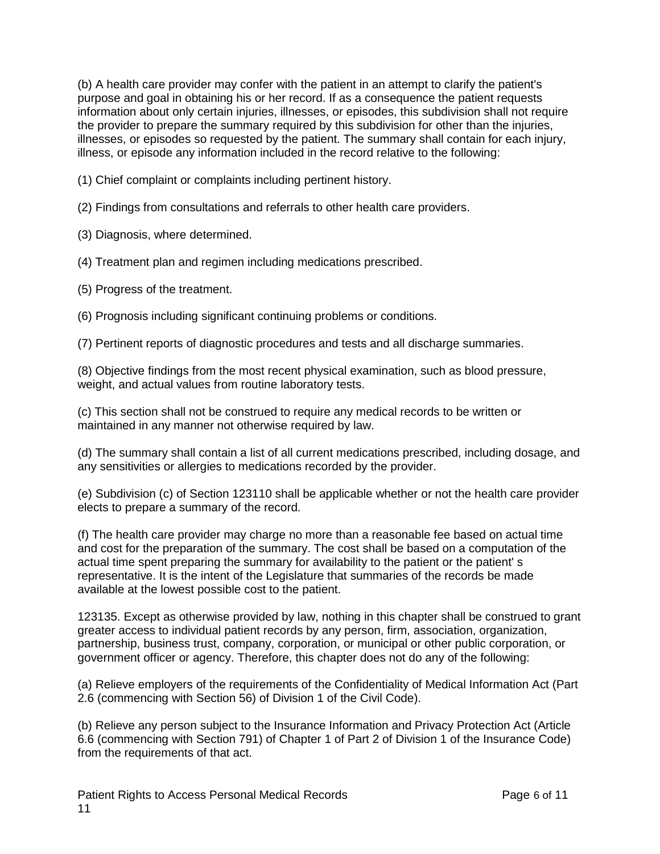(b) A health care provider may confer with the patient in an attempt to clarify the patient's purpose and goal in obtaining his or her record. If as a consequence the patient requests information about only certain injuries, illnesses, or episodes, this subdivision shall not require the provider to prepare the summary required by this subdivision for other than the injuries, illnesses, or episodes so requested by the patient. The summary shall contain for each injury, illness, or episode any information included in the record relative to the following:

(1) Chief complaint or complaints including pertinent history.

(2) Findings from consultations and referrals to other health care providers.

(3) Diagnosis, where determined.

(4) Treatment plan and regimen including medications prescribed.

(5) Progress of the treatment.

(6) Prognosis including significant continuing problems or conditions.

(7) Pertinent reports of diagnostic procedures and tests and all discharge summaries.

(8) Objective findings from the most recent physical examination, such as blood pressure, weight, and actual values from routine laboratory tests.

(c) This section shall not be construed to require any medical records to be written or maintained in any manner not otherwise required by law.

(d) The summary shall contain a list of all current medications prescribed, including dosage, and any sensitivities or allergies to medications recorded by the provider.

(e) Subdivision (c) of Section 123110 shall be applicable whether or not the health care provider elects to prepare a summary of the record.

(f) The health care provider may charge no more than a reasonable fee based on actual time and cost for the preparation of the summary. The cost shall be based on a computation of the actual time spent preparing the summary for availability to the patient or the patient' s representative. It is the intent of the Legislature that summaries of the records be made available at the lowest possible cost to the patient.

123135. Except as otherwise provided by law, nothing in this chapter shall be construed to grant greater access to individual patient records by any person, firm, association, organization, partnership, business trust, company, corporation, or municipal or other public corporation, or government officer or agency. Therefore, this chapter does not do any of the following:

(a) Relieve employers of the requirements of the Confidentiality of Medical Information Act (Part 2.6 (commencing with Section 56) of Division 1 of the Civil Code).

(b) Relieve any person subject to the Insurance Information and Privacy Protection Act (Article 6.6 (commencing with Section 791) of Chapter 1 of Part 2 of Division 1 of the Insurance Code) from the requirements of that act.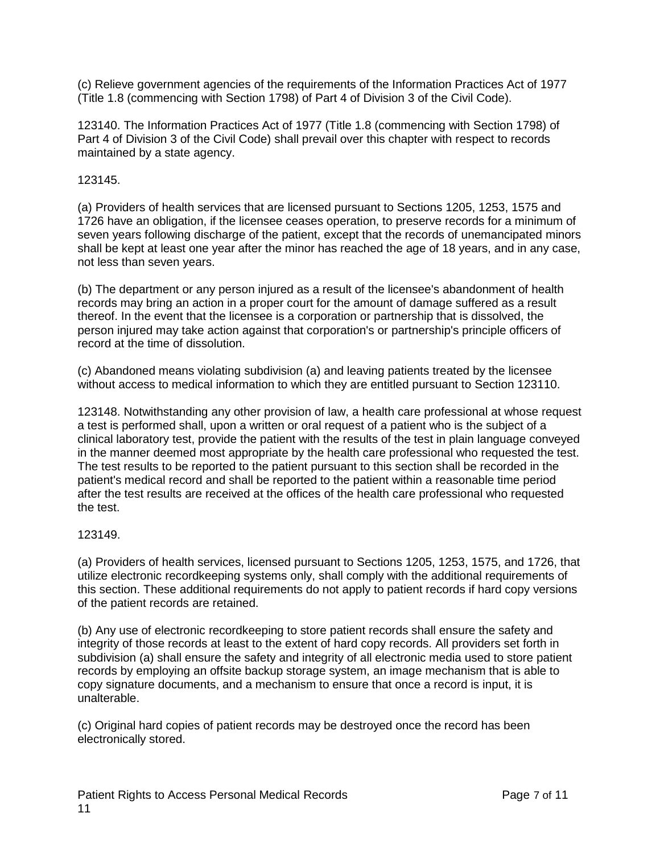(c) Relieve government agencies of the requirements of the Information Practices Act of 1977 (Title 1.8 (commencing with Section 1798) of Part 4 of Division 3 of the Civil Code).

123140. The Information Practices Act of 1977 (Title 1.8 (commencing with Section 1798) of Part 4 of Division 3 of the Civil Code) shall prevail over this chapter with respect to records maintained by a state agency.

123145.

(a) Providers of health services that are licensed pursuant to Sections 1205, 1253, 1575 and 1726 have an obligation, if the licensee ceases operation, to preserve records for a minimum of seven years following discharge of the patient, except that the records of unemancipated minors shall be kept at least one year after the minor has reached the age of 18 years, and in any case, not less than seven years.

(b) The department or any person injured as a result of the licensee's abandonment of health records may bring an action in a proper court for the amount of damage suffered as a result thereof. In the event that the licensee is a corporation or partnership that is dissolved, the person injured may take action against that corporation's or partnership's principle officers of record at the time of dissolution.

(c) Abandoned means violating subdivision (a) and leaving patients treated by the licensee without access to medical information to which they are entitled pursuant to Section 123110.

123148. Notwithstanding any other provision of law, a health care professional at whose request a test is performed shall, upon a written or oral request of a patient who is the subject of a clinical laboratory test, provide the patient with the results of the test in plain language conveyed in the manner deemed most appropriate by the health care professional who requested the test. The test results to be reported to the patient pursuant to this section shall be recorded in the patient's medical record and shall be reported to the patient within a reasonable time period after the test results are received at the offices of the health care professional who requested the test.

# 123149.

(a) Providers of health services, licensed pursuant to Sections 1205, 1253, 1575, and 1726, that utilize electronic recordkeeping systems only, shall comply with the additional requirements of this section. These additional requirements do not apply to patient records if hard copy versions of the patient records are retained.

(b) Any use of electronic recordkeeping to store patient records shall ensure the safety and integrity of those records at least to the extent of hard copy records. All providers set forth in subdivision (a) shall ensure the safety and integrity of all electronic media used to store patient records by employing an offsite backup storage system, an image mechanism that is able to copy signature documents, and a mechanism to ensure that once a record is input, it is unalterable.

(c) Original hard copies of patient records may be destroyed once the record has been electronically stored.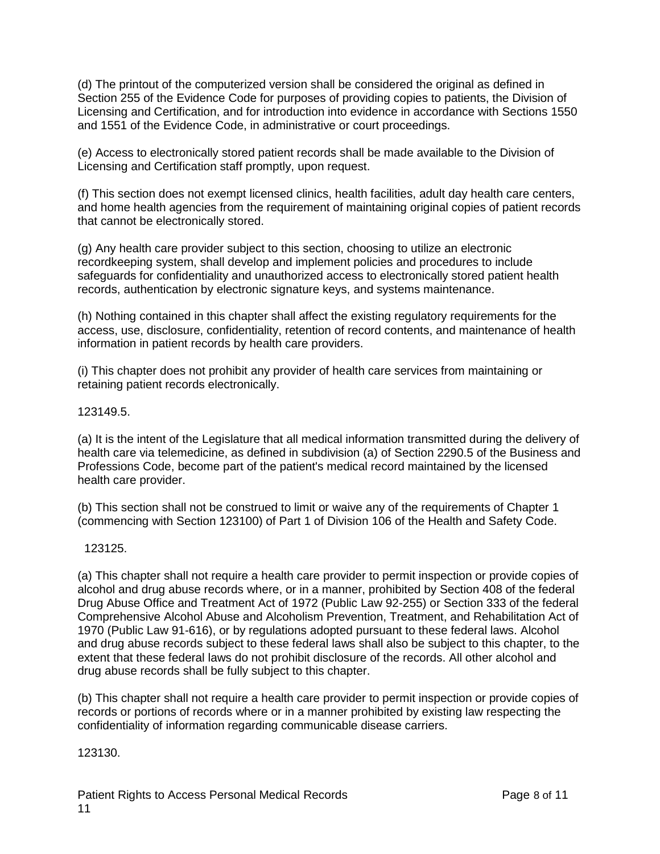(d) The printout of the computerized version shall be considered the original as defined in Section 255 of the Evidence Code for purposes of providing copies to patients, the Division of Licensing and Certification, and for introduction into evidence in accordance with Sections 1550 and 1551 of the Evidence Code, in administrative or court proceedings.

(e) Access to electronically stored patient records shall be made available to the Division of Licensing and Certification staff promptly, upon request.

(f) This section does not exempt licensed clinics, health facilities, adult day health care centers, and home health agencies from the requirement of maintaining original copies of patient records that cannot be electronically stored.

(g) Any health care provider subject to this section, choosing to utilize an electronic recordkeeping system, shall develop and implement policies and procedures to include safeguards for confidentiality and unauthorized access to electronically stored patient health records, authentication by electronic signature keys, and systems maintenance.

(h) Nothing contained in this chapter shall affect the existing regulatory requirements for the access, use, disclosure, confidentiality, retention of record contents, and maintenance of health information in patient records by health care providers.

(i) This chapter does not prohibit any provider of health care services from maintaining or retaining patient records electronically.

123149.5.

(a) It is the intent of the Legislature that all medical information transmitted during the delivery of health care via telemedicine, as defined in subdivision (a) of Section 2290.5 of the Business and Professions Code, become part of the patient's medical record maintained by the licensed health care provider.

(b) This section shall not be construed to limit or waive any of the requirements of Chapter 1 (commencing with Section 123100) of Part 1 of Division 106 of the Health and Safety Code.

123125.

(a) This chapter shall not require a health care provider to permit inspection or provide copies of alcohol and drug abuse records where, or in a manner, prohibited by Section 408 of the federal Drug Abuse Office and Treatment Act of 1972 (Public Law 92-255) or Section 333 of the federal Comprehensive Alcohol Abuse and Alcoholism Prevention, Treatment, and Rehabilitation Act of 1970 (Public Law 91-616), or by regulations adopted pursuant to these federal laws. Alcohol and drug abuse records subject to these federal laws shall also be subject to this chapter, to the extent that these federal laws do not prohibit disclosure of the records. All other alcohol and drug abuse records shall be fully subject to this chapter.

(b) This chapter shall not require a health care provider to permit inspection or provide copies of records or portions of records where or in a manner prohibited by existing law respecting the confidentiality of information regarding communicable disease carriers.

123130.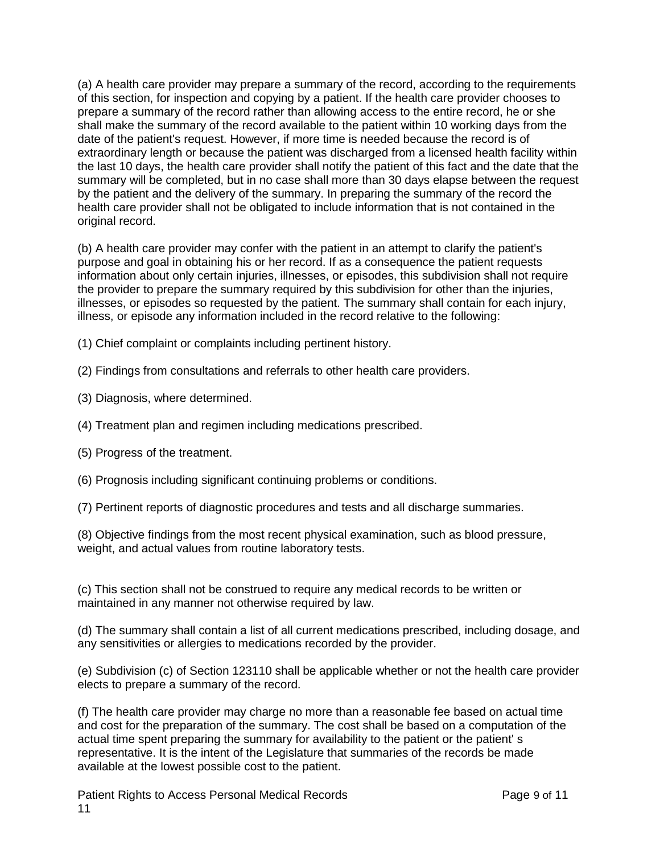(a) A health care provider may prepare a summary of the record, according to the requirements of this section, for inspection and copying by a patient. If the health care provider chooses to prepare a summary of the record rather than allowing access to the entire record, he or she shall make the summary of the record available to the patient within 10 working days from the date of the patient's request. However, if more time is needed because the record is of extraordinary length or because the patient was discharged from a licensed health facility within the last 10 days, the health care provider shall notify the patient of this fact and the date that the summary will be completed, but in no case shall more than 30 days elapse between the request by the patient and the delivery of the summary. In preparing the summary of the record the health care provider shall not be obligated to include information that is not contained in the original record.

(b) A health care provider may confer with the patient in an attempt to clarify the patient's purpose and goal in obtaining his or her record. If as a consequence the patient requests information about only certain injuries, illnesses, or episodes, this subdivision shall not require the provider to prepare the summary required by this subdivision for other than the injuries, illnesses, or episodes so requested by the patient. The summary shall contain for each injury, illness, or episode any information included in the record relative to the following:

- (1) Chief complaint or complaints including pertinent history.
- (2) Findings from consultations and referrals to other health care providers.
- (3) Diagnosis, where determined.
- (4) Treatment plan and regimen including medications prescribed.
- (5) Progress of the treatment.
- (6) Prognosis including significant continuing problems or conditions.
- (7) Pertinent reports of diagnostic procedures and tests and all discharge summaries.

(8) Objective findings from the most recent physical examination, such as blood pressure, weight, and actual values from routine laboratory tests.

(c) This section shall not be construed to require any medical records to be written or maintained in any manner not otherwise required by law.

(d) The summary shall contain a list of all current medications prescribed, including dosage, and any sensitivities or allergies to medications recorded by the provider.

(e) Subdivision (c) of Section 123110 shall be applicable whether or not the health care provider elects to prepare a summary of the record.

(f) The health care provider may charge no more than a reasonable fee based on actual time and cost for the preparation of the summary. The cost shall be based on a computation of the actual time spent preparing the summary for availability to the patient or the patient' s representative. It is the intent of the Legislature that summaries of the records be made available at the lowest possible cost to the patient.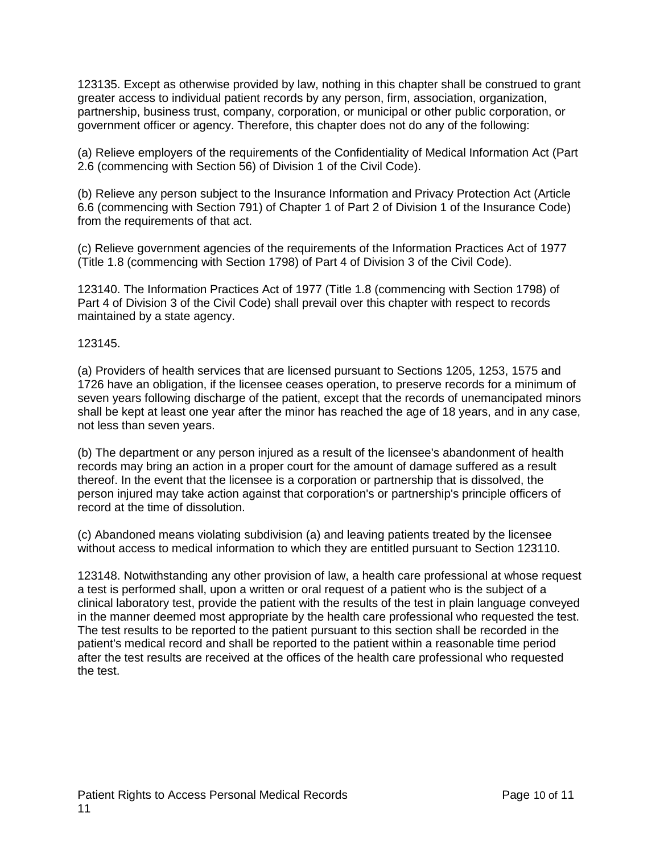123135. Except as otherwise provided by law, nothing in this chapter shall be construed to grant greater access to individual patient records by any person, firm, association, organization, partnership, business trust, company, corporation, or municipal or other public corporation, or government officer or agency. Therefore, this chapter does not do any of the following:

(a) Relieve employers of the requirements of the Confidentiality of Medical Information Act (Part 2.6 (commencing with Section 56) of Division 1 of the Civil Code).

(b) Relieve any person subject to the Insurance Information and Privacy Protection Act (Article 6.6 (commencing with Section 791) of Chapter 1 of Part 2 of Division 1 of the Insurance Code) from the requirements of that act.

(c) Relieve government agencies of the requirements of the Information Practices Act of 1977 (Title 1.8 (commencing with Section 1798) of Part 4 of Division 3 of the Civil Code).

123140. The Information Practices Act of 1977 (Title 1.8 (commencing with Section 1798) of Part 4 of Division 3 of the Civil Code) shall prevail over this chapter with respect to records maintained by a state agency.

123145.

(a) Providers of health services that are licensed pursuant to Sections 1205, 1253, 1575 and 1726 have an obligation, if the licensee ceases operation, to preserve records for a minimum of seven years following discharge of the patient, except that the records of unemancipated minors shall be kept at least one year after the minor has reached the age of 18 years, and in any case, not less than seven years.

(b) The department or any person injured as a result of the licensee's abandonment of health records may bring an action in a proper court for the amount of damage suffered as a result thereof. In the event that the licensee is a corporation or partnership that is dissolved, the person injured may take action against that corporation's or partnership's principle officers of record at the time of dissolution.

(c) Abandoned means violating subdivision (a) and leaving patients treated by the licensee without access to medical information to which they are entitled pursuant to Section 123110.

123148. Notwithstanding any other provision of law, a health care professional at whose request a test is performed shall, upon a written or oral request of a patient who is the subject of a clinical laboratory test, provide the patient with the results of the test in plain language conveyed in the manner deemed most appropriate by the health care professional who requested the test. The test results to be reported to the patient pursuant to this section shall be recorded in the patient's medical record and shall be reported to the patient within a reasonable time period after the test results are received at the offices of the health care professional who requested the test.